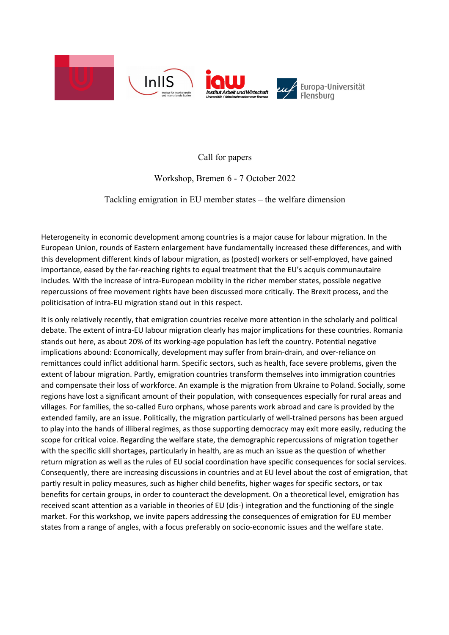

Call for papers

Workshop, Bremen 6 - 7 October 2022

## Tackling emigration in EU member states – the welfare dimension

Heterogeneity in economic development among countries is a major cause for labour migration. In the European Union, rounds of Eastern enlargement have fundamentally increased these differences, and with this development different kinds of labour migration, as (posted) workers or self-employed, have gained importance, eased by the far-reaching rights to equal treatment that the EU's acquis communautaire includes. With the increase of intra-European mobility in the richer member states, possible negative repercussions of free movement rights have been discussed more critically. The Brexit process, and the politicisation of intra-EU migration stand out in this respect.

It is only relatively recently, that emigration countries receive more attention in the scholarly and political debate. The extent of intra-EU labour migration clearly has major implications for these countries. Romania stands out here, as about 20% of its working-age population has left the country. Potential negative implications abound: Economically, development may suffer from brain-drain, and over-reliance on remittances could inflict additional harm. Specific sectors, such as health, face severe problems, given the extent of labour migration. Partly, emigration countries transform themselves into immigration countries and compensate their loss of workforce. An example is the migration from Ukraine to Poland. Socially, some regions have lost a significant amount of their population, with consequences especially for rural areas and villages. For families, the so-called Euro orphans, whose parents work abroad and care is provided by the extended family, are an issue. Politically, the migration particularly of well-trained persons has been argued to play into the hands of illiberal regimes, as those supporting democracy may exit more easily, reducing the scope for critical voice. Regarding the welfare state, the demographic repercussions of migration together with the specific skill shortages, particularly in health, are as much an issue as the question of whether return migration as well as the rules of EU social coordination have specific consequences for social services. Consequently, there are increasing discussions in countries and at EU level about the cost of emigration, that partly result in policy measures, such as higher child benefits, higher wages for specific sectors, or tax benefits for certain groups, in order to counteract the development. On a theoretical level, emigration has received scant attention as a variable in theories of EU (dis-) integration and the functioning of the single market. For this workshop, we invite papers addressing the consequences of emigration for EU member states from a range of angles, with a focus preferably on socio-economic issues and the welfare state.